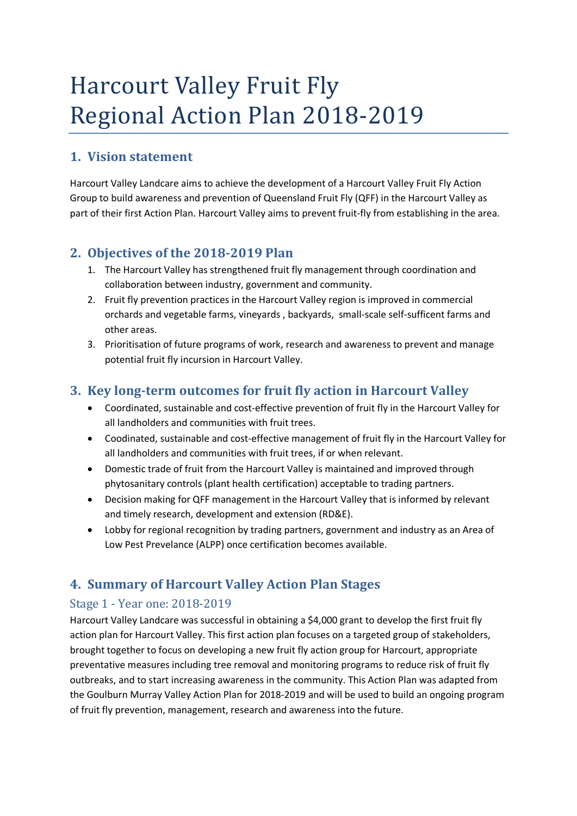# **Harcourt Valley Fruit Fly** Regional Action Plan 2018-2019

## **1. Vision statement**

Harcourt Valley Landcare aims to achieve the development of a Harcourt Valley Fruit Fly Action Group to build awareness and prevention of Queensland Fruit Fly (QFF) in the Harcourt Valley as part of their first Action Plan. Harcourt Valley aims to prevent fruit-fly from establishing in the area.

### 2. **Objectives of the 2018-2019** Plan

- 1. The Harcourt Valley has strengthened fruit fly management through coordination and collaboration between industry, government and community.
- 2. Fruit fly prevention practices in the Harcourt Valley region is improved in commercial orchards and vegetable farms, vineyards , backyards, small-scale self-sufficent farms and other areas.
- 3. Prioritisation of future programs of work, research and awareness to prevent and manage potential fruit fly incursion in Harcourt Valley.

### **3. Key long-term outcomes for fruit fly action in Harcourt Valley**

- Coordinated, sustainable and cost-effective prevention of fruit fly in the Harcourt Valley for all landholders and communities with fruit trees.
- Coodinated, sustainable and cost-effective management of fruit fly in the Harcourt Valley for all landholders and communities with fruit trees, if or when relevant.
- Domestic trade of fruit from the Harcourt Valley is maintained and improved through phytosanitary controls (plant health certification) acceptable to trading partners.
- Decision making for QFF management in the Harcourt Valley that is informed by relevant and timely research, development and extension (RD&E).
- Lobby for regional recognition by trading partners, government and industry as an Area of Low Pest Prevelance (ALPP) once certification becomes available.

# **4. Summary of Harcourt Valley Action Plan Stages**

#### Stage 1 - Year one: 2018-2019

Harcourt Valley Landcare was successful in obtaining a \$4,000 grant to develop the first fruit fly action plan for Harcourt Valley. This first action plan focuses on a targeted group of stakeholders, brought together to focus on developing a new fruit fly action group for Harcourt, appropriate preventative measures including tree removal and monitoring programs to reduce risk of fruit fly outbreaks, and to start increasing awareness in the community. This Action Plan was adapted from the Goulburn Murray Valley Action Plan for 2018-2019 and will be used to build an ongoing program of fruit fly prevention, management, research and awareness into the future.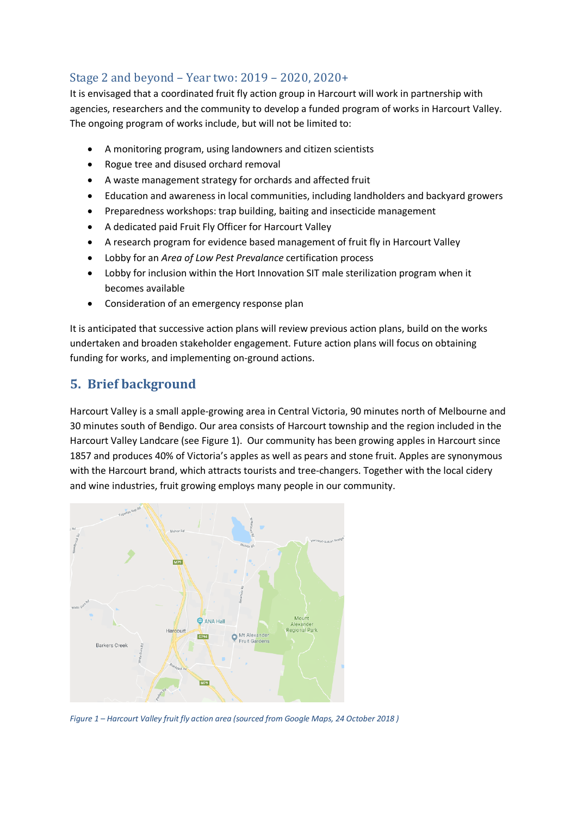#### Stage 2 and beyond – Year two: 2019 – 2020, 2020+

It is envisaged that a coordinated fruit fly action group in Harcourt will work in partnership with agencies, researchers and the community to develop a funded program of works in Harcourt Valley. The ongoing program of works include, but will not be limited to:

- A monitoring program, using landowners and citizen scientists
- Rogue tree and disused orchard removal
- A waste management strategy for orchards and affected fruit
- Education and awareness in local communities, including landholders and backyard growers
- Preparedness workshops: trap building, baiting and insecticide management
- A dedicated paid Fruit Fly Officer for Harcourt Valley
- A research program for evidence based management of fruit fly in Harcourt Valley
- Lobby for an *Area of Low Pest Prevalance* certification process
- Lobby for inclusion within the Hort Innovation SIT male sterilization program when it becomes available
- Consideration of an emergency response plan

It is anticipated that successive action plans will review previous action plans, build on the works undertaken and broaden stakeholder engagement. Future action plans will focus on obtaining funding for works, and implementing on-ground actions.

### **5.** Brief background

Harcourt Valley is a small apple-growing area in Central Victoria, 90 minutes north of Melbourne and 30 minutes south of Bendigo. Our area consists of Harcourt township and the region included in the Harcourt Valley Landcare (see Figure 1). Our community has been growing apples in Harcourt since 1857 and produces 40% of Victoria's apples as well as pears and stone fruit. Apples are synonymous with the Harcourt brand, which attracts tourists and tree-changers. Together with the local cidery and wine industries, fruit growing employs many people in our community.



*Figure 1 – Harcourt Valley fruit fly action area (sourced from Google Maps, 24 October 2018 )*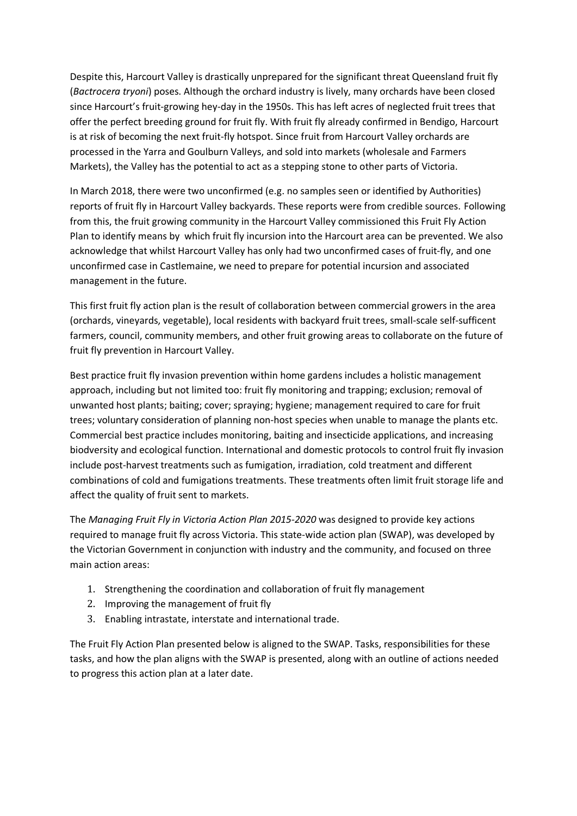Despite this, Harcourt Valley is drastically unprepared for the significant threat Queensland fruit fly (*Bactrocera tryoni*) poses. Although the orchard industry is lively, many orchards have been closed since Harcourt's fruit-growing hey-day in the 1950s. This has left acres of neglected fruit trees that offer the perfect breeding ground for fruit fly. With fruit fly already confirmed in Bendigo, Harcourt is at risk of becoming the next fruit-fly hotspot. Since fruit from Harcourt Valley orchards are processed in the Yarra and Goulburn Valleys, and sold into markets (wholesale and Farmers Markets), the Valley has the potential to act as a stepping stone to other parts of Victoria.

In March 2018, there were two unconfirmed (e.g. no samples seen or identified by Authorities) reports of fruit fly in Harcourt Valley backyards. These reports were from credible sources. Following from this, the fruit growing community in the Harcourt Valley commissioned this Fruit Fly Action Plan to identify means by which fruit fly incursion into the Harcourt area can be prevented. We also acknowledge that whilst Harcourt Valley has only had two unconfirmed cases of fruit-fly, and one unconfirmed case in Castlemaine, we need to prepare for potential incursion and associated management in the future.

This first fruit fly action plan is the result of collaboration between commercial growers in the area (orchards, vineyards, vegetable), local residents with backyard fruit trees, small-scale self-sufficent farmers, council, community members, and other fruit growing areas to collaborate on the future of fruit fly prevention in Harcourt Valley.

Best practice fruit fly invasion prevention within home gardens includes a holistic management approach, including but not limited too: fruit fly monitoring and trapping; exclusion; removal of unwanted host plants; baiting; cover; spraying; hygiene; management required to care for fruit trees; voluntary consideration of planning non-host species when unable to manage the plants etc. Commercial best practice includes monitoring, baiting and insecticide applications, and increasing biodversity and ecological function. International and domestic protocols to control fruit fly invasion include post-harvest treatments such as fumigation, irradiation, cold treatment and different combinations of cold and fumigations treatments. These treatments often limit fruit storage life and affect the quality of fruit sent to markets.

The *Managing Fruit Fly in Victoria Action Plan 2015-2020* was designed to provide key actions required to manage fruit fly across Victoria. This state-wide action plan (SWAP), was developed by the Victorian Government in conjunction with industry and the community, and focused on three main action areas:

- 1. Strengthening the coordination and collaboration of fruit fly management
- 2. Improving the management of fruit fly
- 3. Enabling intrastate, interstate and international trade.

The Fruit Fly Action Plan presented below is aligned to the SWAP. Tasks, responsibilities for these tasks, and how the plan aligns with the SWAP is presented, along with an outline of actions needed to progress this action plan at a later date.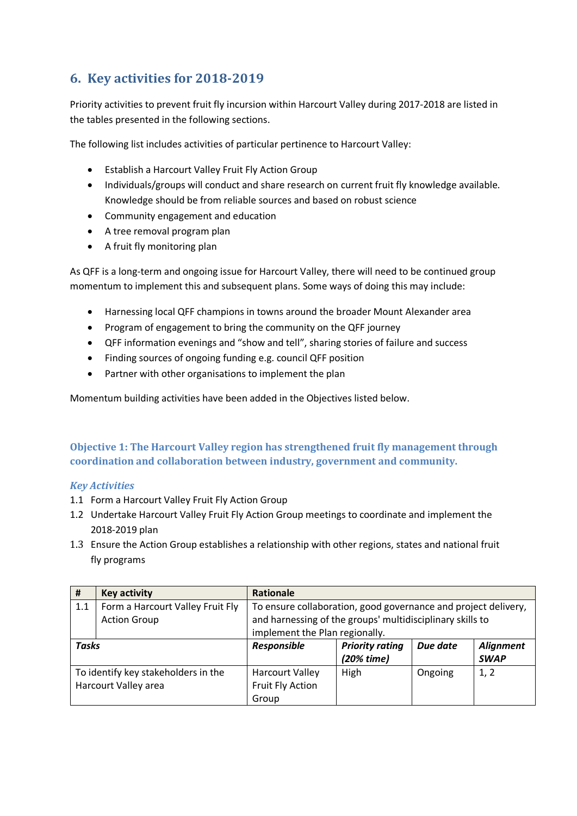# **6. Key activities for 2018-2019**

Priority activities to prevent fruit fly incursion within Harcourt Valley during 2017-2018 are listed in the tables presented in the following sections.

The following list includes activities of particular pertinence to Harcourt Valley:

- Establish a Harcourt Valley Fruit Fly Action Group
- Individuals/groups will conduct and share research on current fruit fly knowledge available. Knowledge should be from reliable sources and based on robust science
- Community engagement and education
- A tree removal program plan
- A fruit fly monitoring plan

As QFF is a long-term and ongoing issue for Harcourt Valley, there will need to be continued group momentum to implement this and subsequent plans. Some ways of doing this may include:

- Harnessing local QFF champions in towns around the broader Mount Alexander area
- Program of engagement to bring the community on the QFF journey
- QFF information evenings and "show and tell", sharing stories of failure and success
- Finding sources of ongoing funding e.g. council QFF position
- Partner with other organisations to implement the plan

Momentum building activities have been added in the Objectives listed below.

**Objective 1: The Harcourt Valley region has strengthened fruit fly management through** coordination and collaboration between industry, government and community.

#### *Key Activities*

- 1.1 Form a Harcourt Valley Fruit Fly Action Group
- 1.2 Undertake Harcourt Valley Fruit Fly Action Group meetings to coordinate and implement the 2018-2019 plan
- 1.3 Ensure the Action Group establishes a relationship with other regions, states and national fruit fly programs

| #                                   | <b>Key activity</b>              | <b>Rationale</b>                                               |                        |          |                  |  |
|-------------------------------------|----------------------------------|----------------------------------------------------------------|------------------------|----------|------------------|--|
| 1.1                                 | Form a Harcourt Valley Fruit Fly | To ensure collaboration, good governance and project delivery, |                        |          |                  |  |
|                                     | <b>Action Group</b>              | and harnessing of the groups' multidisciplinary skills to      |                        |          |                  |  |
|                                     |                                  | implement the Plan regionally.                                 |                        |          |                  |  |
| <b>Tasks</b>                        |                                  | Responsible                                                    | <b>Priority rating</b> | Due date | <b>Alignment</b> |  |
|                                     |                                  |                                                                | $(20%$ time)           |          | <b>SWAP</b>      |  |
| To identify key stakeholders in the |                                  | <b>Harcourt Valley</b>                                         | High                   | Ongoing  | 1, 2             |  |
| Harcourt Valley area                |                                  | Fruit Fly Action                                               |                        |          |                  |  |
|                                     |                                  | Group                                                          |                        |          |                  |  |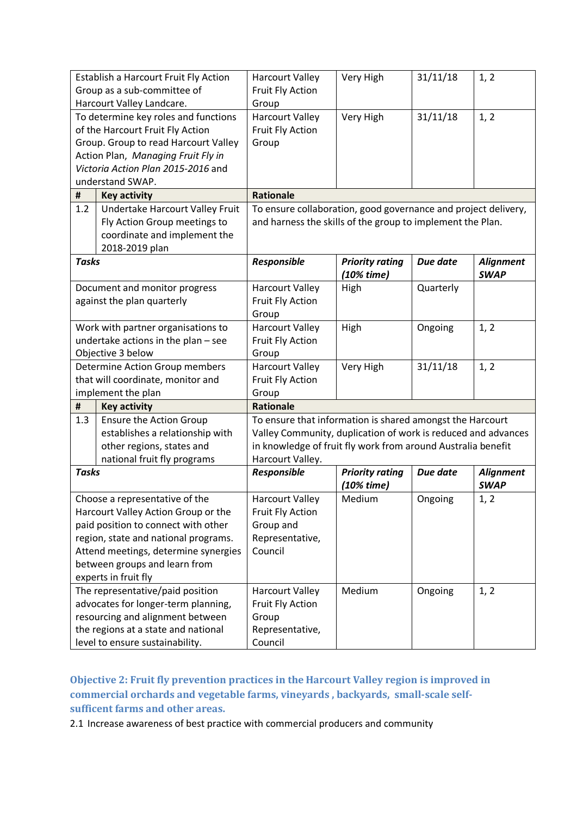| Establish a Harcourt Fruit Fly Action<br>Group as a sub-committee of                                                                                                                                                                                  |                                                                                                                                                                                       | <b>Harcourt Valley</b><br>Fruit Fly Action                                                                                                                                                                     | Very High                              | 31/11/18  | 1, 2                            |
|-------------------------------------------------------------------------------------------------------------------------------------------------------------------------------------------------------------------------------------------------------|---------------------------------------------------------------------------------------------------------------------------------------------------------------------------------------|----------------------------------------------------------------------------------------------------------------------------------------------------------------------------------------------------------------|----------------------------------------|-----------|---------------------------------|
| Harcourt Valley Landcare.                                                                                                                                                                                                                             |                                                                                                                                                                                       | Group                                                                                                                                                                                                          |                                        |           |                                 |
| To determine key roles and functions<br>of the Harcourt Fruit Fly Action<br>Group. Group to read Harcourt Valley<br>Action Plan, Managing Fruit Fly in<br>Victoria Action Plan 2015-2016 and<br>understand SWAP.                                      |                                                                                                                                                                                       | <b>Harcourt Valley</b><br>Fruit Fly Action<br>Group                                                                                                                                                            | Very High                              | 31/11/18  | 1, 2                            |
| #                                                                                                                                                                                                                                                     | <b>Key activity</b>                                                                                                                                                                   | <b>Rationale</b>                                                                                                                                                                                               |                                        |           |                                 |
| 1.2                                                                                                                                                                                                                                                   | Undertake Harcourt Valley Fruit<br>Fly Action Group meetings to<br>coordinate and implement the<br>2018-2019 plan                                                                     | To ensure collaboration, good governance and project delivery,<br>and harness the skills of the group to implement the Plan.                                                                                   |                                        |           |                                 |
| <b>Tasks</b>                                                                                                                                                                                                                                          |                                                                                                                                                                                       | Responsible                                                                                                                                                                                                    | <b>Priority rating</b><br>$(10%$ time) | Due date  | <b>Alignment</b><br><b>SWAP</b> |
| Document and monitor progress<br>against the plan quarterly                                                                                                                                                                                           |                                                                                                                                                                                       | <b>Harcourt Valley</b><br>Fruit Fly Action<br>Group                                                                                                                                                            | High                                   | Quarterly |                                 |
| Work with partner organisations to<br>undertake actions in the plan - see<br>Objective 3 below                                                                                                                                                        |                                                                                                                                                                                       | <b>Harcourt Valley</b><br>Fruit Fly Action<br>Group                                                                                                                                                            | High                                   | Ongoing   | 1, 2                            |
|                                                                                                                                                                                                                                                       | Determine Action Group members<br>that will coordinate, monitor and<br>implement the plan                                                                                             | <b>Harcourt Valley</b><br>Fruit Fly Action<br>Group                                                                                                                                                            | Very High                              | 31/11/18  | 1, 2                            |
| #                                                                                                                                                                                                                                                     | <b>Key activity</b>                                                                                                                                                                   | <b>Rationale</b>                                                                                                                                                                                               |                                        |           |                                 |
| 1.3                                                                                                                                                                                                                                                   | <b>Ensure the Action Group</b><br>establishes a relationship with<br>other regions, states and<br>national fruit fly programs                                                         | To ensure that information is shared amongst the Harcourt<br>Valley Community, duplication of work is reduced and advances<br>in knowledge of fruit fly work from around Australia benefit<br>Harcourt Valley. |                                        |           |                                 |
| <b>Tasks</b>                                                                                                                                                                                                                                          |                                                                                                                                                                                       | Responsible                                                                                                                                                                                                    | <b>Priority rating</b><br>(10% time)   | Due date  | <b>Alignment</b><br><b>SWAP</b> |
| Choose a representative of the<br>Harcourt Valley Action Group or the<br>paid position to connect with other<br>region, state and national programs.<br>Attend meetings, determine synergies<br>between groups and learn from<br>experts in fruit fly |                                                                                                                                                                                       | <b>Harcourt Valley</b><br><b>Fruit Fly Action</b><br>Group and<br>Representative,<br>Council                                                                                                                   | Medium                                 | Ongoing   | 1, 2                            |
|                                                                                                                                                                                                                                                       | The representative/paid position<br>advocates for longer-term planning,<br>resourcing and alignment between<br>the regions at a state and national<br>level to ensure sustainability. | <b>Harcourt Valley</b><br>Fruit Fly Action<br>Group<br>Representative,<br>Council                                                                                                                              | Medium                                 | Ongoing   | 1, 2                            |

**Objective 2: Fruit fly prevention practices in the Harcourt Valley region is improved in** commercial orchards and vegetable farms, vineyards, backyards, small-scale selfsufficent farms and other areas.

2.1 Increase awareness of best practice with commercial producers and community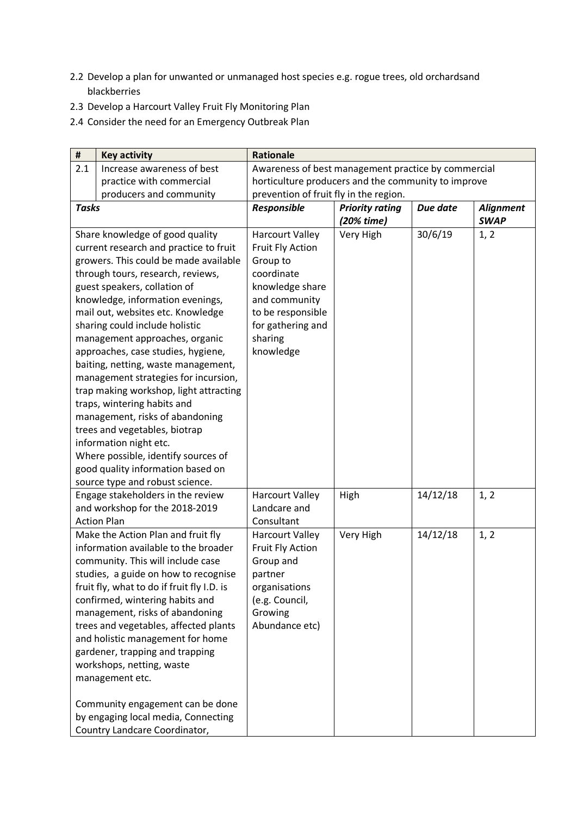- 2.2 Develop a plan for unwanted or unmanaged host species e.g. rogue trees, old orchardsand blackberries
- 2.3 Develop a Harcourt Valley Fruit Fly Monitoring Plan
- 2.4 Consider the need for an Emergency Outbreak Plan

| $\pmb{\sharp}$ | <b>Key activity</b>                                                                | <b>Rationale</b>                                    |                        |          |                  |
|----------------|------------------------------------------------------------------------------------|-----------------------------------------------------|------------------------|----------|------------------|
| 2.1            | Increase awareness of best                                                         | Awareness of best management practice by commercial |                        |          |                  |
|                | practice with commercial                                                           | horticulture producers and the community to improve |                        |          |                  |
|                | producers and community                                                            | prevention of fruit fly in the region.              |                        |          |                  |
| <b>Tasks</b>   |                                                                                    | Responsible                                         | <b>Priority rating</b> | Due date | <b>Alignment</b> |
|                |                                                                                    |                                                     | (20% time)             |          | <b>SWAP</b>      |
|                | Share knowledge of good quality                                                    | <b>Harcourt Valley</b>                              | Very High              | 30/6/19  | 1, 2             |
|                | current research and practice to fruit                                             | Fruit Fly Action                                    |                        |          |                  |
|                | growers. This could be made available                                              | Group to                                            |                        |          |                  |
|                | through tours, research, reviews,                                                  | coordinate                                          |                        |          |                  |
|                | guest speakers, collation of                                                       | knowledge share                                     |                        |          |                  |
|                | knowledge, information evenings,                                                   | and community                                       |                        |          |                  |
|                | mail out, websites etc. Knowledge                                                  | to be responsible                                   |                        |          |                  |
|                | sharing could include holistic<br>management approaches, organic                   | for gathering and<br>sharing                        |                        |          |                  |
|                | approaches, case studies, hygiene,                                                 | knowledge                                           |                        |          |                  |
|                | baiting, netting, waste management,                                                |                                                     |                        |          |                  |
|                | management strategies for incursion,                                               |                                                     |                        |          |                  |
|                | trap making workshop, light attracting                                             |                                                     |                        |          |                  |
|                | traps, wintering habits and                                                        |                                                     |                        |          |                  |
|                | management, risks of abandoning                                                    |                                                     |                        |          |                  |
|                | trees and vegetables, biotrap                                                      |                                                     |                        |          |                  |
|                | information night etc.                                                             |                                                     |                        |          |                  |
|                | Where possible, identify sources of                                                |                                                     |                        |          |                  |
|                | good quality information based on                                                  |                                                     |                        |          |                  |
|                | source type and robust science.                                                    |                                                     |                        |          |                  |
|                | Engage stakeholders in the review                                                  | <b>Harcourt Valley</b>                              | High                   | 14/12/18 | 1, 2             |
|                | and workshop for the 2018-2019                                                     | Landcare and                                        |                        |          |                  |
|                | <b>Action Plan</b>                                                                 | Consultant                                          |                        |          |                  |
|                | Make the Action Plan and fruit fly                                                 | <b>Harcourt Valley</b>                              | Very High              | 14/12/18 | 1, 2             |
|                | information available to the broader                                               | Fruit Fly Action                                    |                        |          |                  |
|                | community. This will include case                                                  | Group and                                           |                        |          |                  |
|                | studies, a guide on how to recognise<br>fruit fly, what to do if fruit fly I.D. is | partner<br>organisations                            |                        |          |                  |
|                | confirmed, wintering habits and                                                    | (e.g. Council,                                      |                        |          |                  |
|                | management, risks of abandoning                                                    | Growing                                             |                        |          |                  |
|                | trees and vegetables, affected plants                                              | Abundance etc)                                      |                        |          |                  |
|                | and holistic management for home                                                   |                                                     |                        |          |                  |
|                | gardener, trapping and trapping                                                    |                                                     |                        |          |                  |
|                | workshops, netting, waste                                                          |                                                     |                        |          |                  |
|                | management etc.                                                                    |                                                     |                        |          |                  |
|                |                                                                                    |                                                     |                        |          |                  |
|                | Community engagement can be done                                                   |                                                     |                        |          |                  |
|                | by engaging local media, Connecting                                                |                                                     |                        |          |                  |
|                | Country Landcare Coordinator,                                                      |                                                     |                        |          |                  |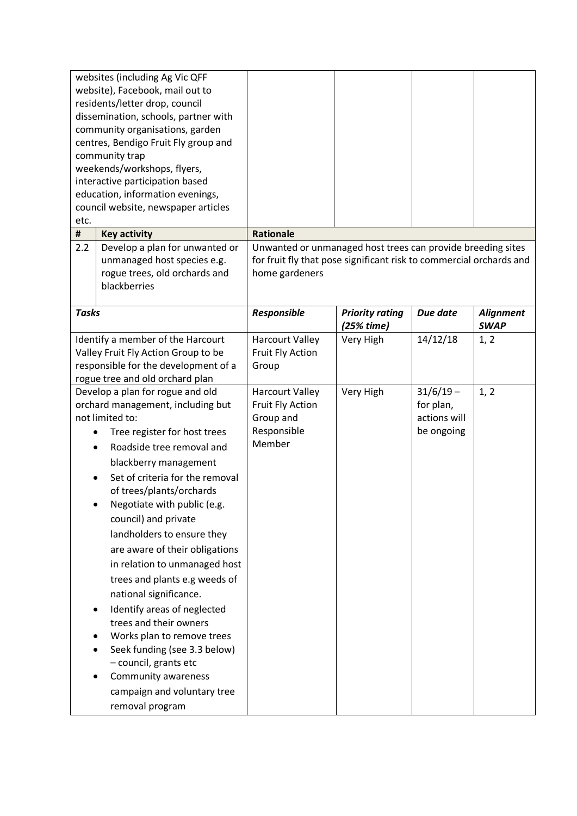| etc.                                                                                                                                                | websites (including Ag Vic QFF<br>website), Facebook, mail out to<br>residents/letter drop, council<br>dissemination, schools, partner with<br>community organisations, garden<br>centres, Bendigo Fruit Fly group and<br>community trap<br>weekends/workshops, flyers,<br>interactive participation based<br>education, information evenings,<br>council website, newspaper articles                                                                                                                                                                                                                                                                                                     |                                                                                                                                                      |                                      |                                                        |                                 |
|-----------------------------------------------------------------------------------------------------------------------------------------------------|-------------------------------------------------------------------------------------------------------------------------------------------------------------------------------------------------------------------------------------------------------------------------------------------------------------------------------------------------------------------------------------------------------------------------------------------------------------------------------------------------------------------------------------------------------------------------------------------------------------------------------------------------------------------------------------------|------------------------------------------------------------------------------------------------------------------------------------------------------|--------------------------------------|--------------------------------------------------------|---------------------------------|
| #                                                                                                                                                   | <b>Key activity</b>                                                                                                                                                                                                                                                                                                                                                                                                                                                                                                                                                                                                                                                                       | <b>Rationale</b>                                                                                                                                     |                                      |                                                        |                                 |
| 2.2                                                                                                                                                 | Develop a plan for unwanted or<br>unmanaged host species e.g.<br>rogue trees, old orchards and<br>blackberries                                                                                                                                                                                                                                                                                                                                                                                                                                                                                                                                                                            | Unwanted or unmanaged host trees can provide breeding sites<br>for fruit fly that pose significant risk to commercial orchards and<br>home gardeners |                                      |                                                        |                                 |
| <b>Tasks</b>                                                                                                                                        |                                                                                                                                                                                                                                                                                                                                                                                                                                                                                                                                                                                                                                                                                           | Responsible                                                                                                                                          | <b>Priority rating</b><br>(25% time) | Due date                                               | <b>Alignment</b><br><b>SWAP</b> |
| Identify a member of the Harcourt<br>Valley Fruit Fly Action Group to be<br>responsible for the development of a<br>rogue tree and old orchard plan |                                                                                                                                                                                                                                                                                                                                                                                                                                                                                                                                                                                                                                                                                           | <b>Harcourt Valley</b><br>Fruit Fly Action<br>Group                                                                                                  | Very High                            | 14/12/18                                               | 1, 2                            |
|                                                                                                                                                     | Develop a plan for rogue and old<br>orchard management, including but<br>not limited to:<br>Tree register for host trees<br>Roadside tree removal and<br>blackberry management<br>Set of criteria for the removal<br>of trees/plants/orchards<br>Negotiate with public (e.g.<br>council) and private<br>landholders to ensure they<br>are aware of their obligations<br>in relation to unmanaged host<br>trees and plants e.g weeds of<br>national significance.<br>Identify areas of neglected<br>trees and their owners<br>Works plan to remove trees<br>Seek funding (see 3.3 below)<br>- council, grants etc<br>Community awareness<br>campaign and voluntary tree<br>removal program | <b>Harcourt Valley</b><br>Fruit Fly Action<br>Group and<br>Responsible<br>Member                                                                     | Very High                            | $31/6/19 -$<br>for plan,<br>actions will<br>be ongoing | 1, 2                            |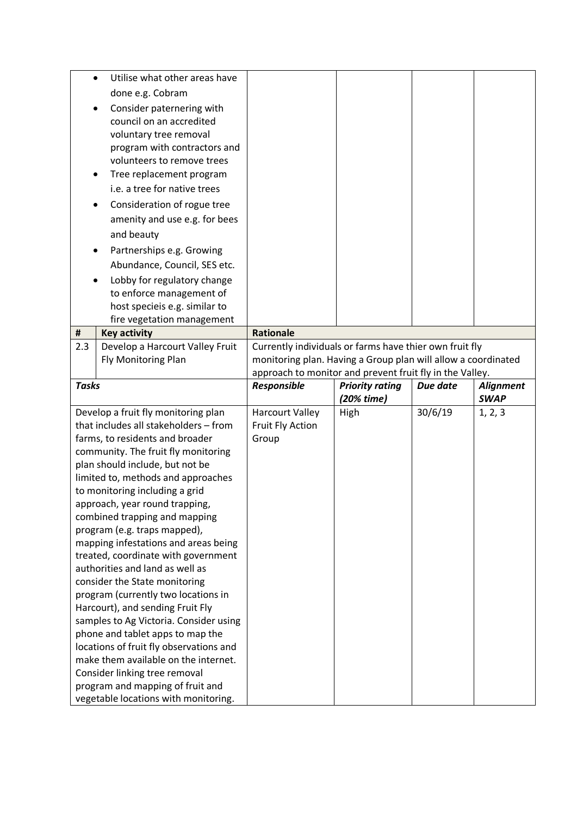| $\bullet$    | Utilise what other areas have                                                                                                                                                                                                                                                                                        |                                                          |                        |          |                  |  |
|--------------|----------------------------------------------------------------------------------------------------------------------------------------------------------------------------------------------------------------------------------------------------------------------------------------------------------------------|----------------------------------------------------------|------------------------|----------|------------------|--|
|              | done e.g. Cobram                                                                                                                                                                                                                                                                                                     |                                                          |                        |          |                  |  |
|              | Consider paternering with<br>council on an accredited<br>voluntary tree removal<br>program with contractors and<br>volunteers to remove trees<br>Tree replacement program<br>i.e. a tree for native trees<br>Consideration of rogue tree<br>amenity and use e.g. for bees<br>and beauty<br>Partnerships e.g. Growing |                                                          |                        |          |                  |  |
|              | Abundance, Council, SES etc.                                                                                                                                                                                                                                                                                         |                                                          |                        |          |                  |  |
|              | Lobby for regulatory change                                                                                                                                                                                                                                                                                          |                                                          |                        |          |                  |  |
|              | to enforce management of                                                                                                                                                                                                                                                                                             |                                                          |                        |          |                  |  |
|              | host specieis e.g. similar to                                                                                                                                                                                                                                                                                        |                                                          |                        |          |                  |  |
| #            | fire vegetation management<br><b>Key activity</b>                                                                                                                                                                                                                                                                    | <b>Rationale</b>                                         |                        |          |                  |  |
| 2.3          | Develop a Harcourt Valley Fruit                                                                                                                                                                                                                                                                                      | Currently individuals or farms have thier own fruit fly  |                        |          |                  |  |
|              | Fly Monitoring Plan<br>monitoring plan. Having a Group plan will allow a coordinated                                                                                                                                                                                                                                 |                                                          |                        |          |                  |  |
|              |                                                                                                                                                                                                                                                                                                                      | approach to monitor and prevent fruit fly in the Valley. |                        |          |                  |  |
| <b>Tasks</b> |                                                                                                                                                                                                                                                                                                                      | Responsible                                              | <b>Priority rating</b> | Due date | <b>Alignment</b> |  |
|              |                                                                                                                                                                                                                                                                                                                      |                                                          |                        |          |                  |  |
|              |                                                                                                                                                                                                                                                                                                                      |                                                          | (20% time)             |          | <b>SWAP</b>      |  |
|              | Develop a fruit fly monitoring plan                                                                                                                                                                                                                                                                                  | <b>Harcourt Valley</b>                                   | High                   | 30/6/19  | 1, 2, 3          |  |
|              | that includes all stakeholders - from                                                                                                                                                                                                                                                                                | Fruit Fly Action                                         |                        |          |                  |  |
|              | farms, to residents and broader                                                                                                                                                                                                                                                                                      | Group                                                    |                        |          |                  |  |
|              | community. The fruit fly monitoring                                                                                                                                                                                                                                                                                  |                                                          |                        |          |                  |  |
|              | plan should include, but not be                                                                                                                                                                                                                                                                                      |                                                          |                        |          |                  |  |
|              | limited to, methods and approaches                                                                                                                                                                                                                                                                                   |                                                          |                        |          |                  |  |
|              | to monitoring including a grid                                                                                                                                                                                                                                                                                       |                                                          |                        |          |                  |  |
|              | approach, year round trapping,                                                                                                                                                                                                                                                                                       |                                                          |                        |          |                  |  |
|              | combined trapping and mapping                                                                                                                                                                                                                                                                                        |                                                          |                        |          |                  |  |
|              | program (e.g. traps mapped),                                                                                                                                                                                                                                                                                         |                                                          |                        |          |                  |  |
|              | mapping infestations and areas being<br>treated, coordinate with government                                                                                                                                                                                                                                          |                                                          |                        |          |                  |  |
|              | authorities and land as well as                                                                                                                                                                                                                                                                                      |                                                          |                        |          |                  |  |
|              | consider the State monitoring                                                                                                                                                                                                                                                                                        |                                                          |                        |          |                  |  |
|              | program (currently two locations in                                                                                                                                                                                                                                                                                  |                                                          |                        |          |                  |  |
|              | Harcourt), and sending Fruit Fly                                                                                                                                                                                                                                                                                     |                                                          |                        |          |                  |  |
|              | samples to Ag Victoria. Consider using                                                                                                                                                                                                                                                                               |                                                          |                        |          |                  |  |
|              | phone and tablet apps to map the                                                                                                                                                                                                                                                                                     |                                                          |                        |          |                  |  |
|              | locations of fruit fly observations and                                                                                                                                                                                                                                                                              |                                                          |                        |          |                  |  |
|              | make them available on the internet.                                                                                                                                                                                                                                                                                 |                                                          |                        |          |                  |  |
|              | Consider linking tree removal<br>program and mapping of fruit and                                                                                                                                                                                                                                                    |                                                          |                        |          |                  |  |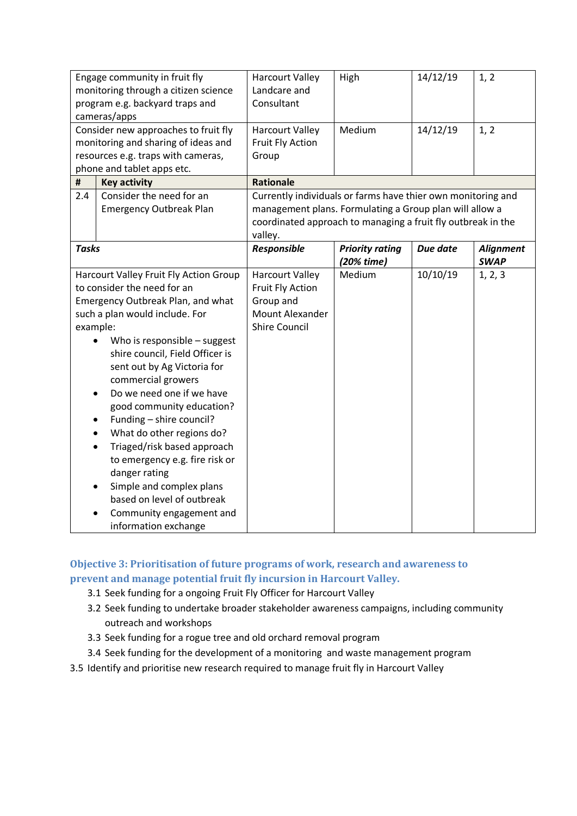| Engage community in fruit fly            |                                        | <b>Harcourt Valley</b>                                       | High                   | 14/12/19 | 1, 2             |
|------------------------------------------|----------------------------------------|--------------------------------------------------------------|------------------------|----------|------------------|
| monitoring through a citizen science     |                                        | Landcare and                                                 |                        |          |                  |
| program e.g. backyard traps and          |                                        | Consultant                                                   |                        |          |                  |
| cameras/apps                             |                                        |                                                              |                        |          |                  |
|                                          | Consider new approaches to fruit fly   | <b>Harcourt Valley</b>                                       | Medium                 | 14/12/19 | 1, 2             |
|                                          | monitoring and sharing of ideas and    | Fruit Fly Action                                             |                        |          |                  |
|                                          | resources e.g. traps with cameras,     | Group                                                        |                        |          |                  |
|                                          | phone and tablet apps etc.             |                                                              |                        |          |                  |
| $\pmb{\sharp}$                           | <b>Key activity</b>                    | <b>Rationale</b>                                             |                        |          |                  |
| 2.4                                      | Consider the need for an               | Currently individuals or farms have thier own monitoring and |                        |          |                  |
|                                          | <b>Emergency Outbreak Plan</b>         | management plans. Formulating a Group plan will allow a      |                        |          |                  |
|                                          |                                        | coordinated approach to managing a fruit fly outbreak in the |                        |          |                  |
|                                          |                                        | valley.                                                      |                        |          |                  |
| <b>Tasks</b>                             |                                        | Responsible                                                  | <b>Priority rating</b> | Due date | <b>Alignment</b> |
|                                          |                                        |                                                              | (20% time)             |          | <b>SWAP</b>      |
|                                          | Harcourt Valley Fruit Fly Action Group | <b>Harcourt Valley</b>                                       | Medium                 | 10/10/19 | 1, 2, 3          |
|                                          | to consider the need for an            | Fruit Fly Action                                             |                        |          |                  |
| <b>Emergency Outbreak Plan, and what</b> |                                        | Group and                                                    |                        |          |                  |
|                                          | such a plan would include. For         | <b>Mount Alexander</b>                                       |                        |          |                  |
| example:                                 |                                        | <b>Shire Council</b>                                         |                        |          |                  |
|                                          | Who is responsible - suggest           |                                                              |                        |          |                  |
|                                          | shire council, Field Officer is        |                                                              |                        |          |                  |
|                                          | sent out by Ag Victoria for            |                                                              |                        |          |                  |
|                                          | commercial growers                     |                                                              |                        |          |                  |
|                                          | Do we need one if we have              |                                                              |                        |          |                  |
|                                          | good community education?              |                                                              |                        |          |                  |
|                                          | Funding - shire council?               |                                                              |                        |          |                  |
|                                          | What do other regions do?              |                                                              |                        |          |                  |
| $\bullet$                                | Triaged/risk based approach            |                                                              |                        |          |                  |
|                                          | to emergency e.g. fire risk or         |                                                              |                        |          |                  |
|                                          | danger rating                          |                                                              |                        |          |                  |
|                                          | Simple and complex plans               |                                                              |                        |          |                  |
|                                          | based on level of outbreak             |                                                              |                        |          |                  |
|                                          | Community engagement and               |                                                              |                        |          |                  |
|                                          | information exchange                   |                                                              |                        |          |                  |

#### **Objective 3: Prioritisation of future programs of work, research and awareness to prevent and manage potential fruit fly incursion in Harcourt Valley.**

- 3.1 Seek funding for a ongoing Fruit Fly Officer for Harcourt Valley
- 3.2 Seek funding to undertake broader stakeholder awareness campaigns, including community outreach and workshops
- 3.3 Seek funding for a rogue tree and old orchard removal program
- 3.4 Seek funding for the development of a monitoring and waste management program
- 3.5 Identify and prioritise new research required to manage fruit fly in Harcourt Valley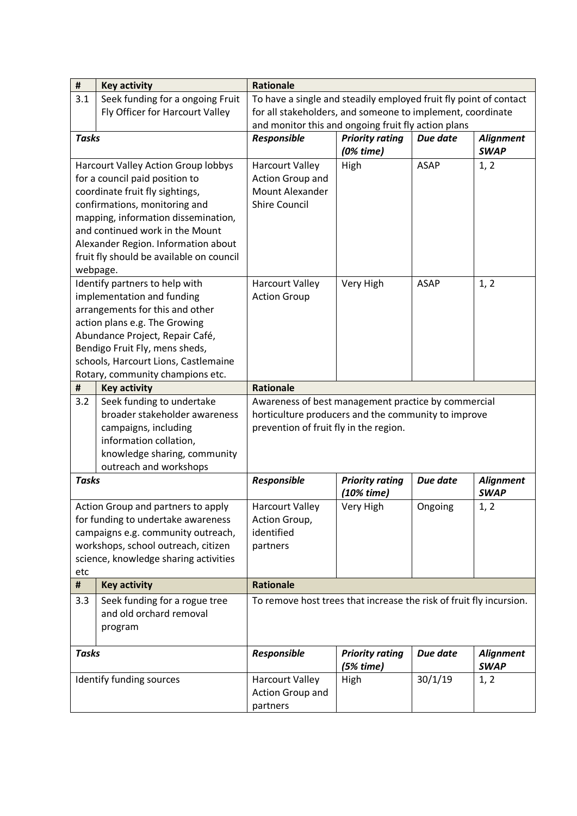| $\pmb{\sharp}$                 | <b>Key activity</b>                                        | <b>Rationale</b>                                                                                           |                                       |             |                                 |  |
|--------------------------------|------------------------------------------------------------|------------------------------------------------------------------------------------------------------------|---------------------------------------|-------------|---------------------------------|--|
| 3.1                            | Seek funding for a ongoing Fruit                           | To have a single and steadily employed fruit fly point of contact                                          |                                       |             |                                 |  |
|                                | Fly Officer for Harcourt Valley                            | for all stakeholders, and someone to implement, coordinate                                                 |                                       |             |                                 |  |
|                                |                                                            | and monitor this and ongoing fruit fly action plans                                                        |                                       |             |                                 |  |
| <b>Tasks</b>                   |                                                            | Responsible                                                                                                | <b>Priority rating</b><br>$(0%$ time) | Due date    | <b>Alignment</b><br><b>SWAP</b> |  |
|                                | <b>Harcourt Valley Action Group lobbys</b>                 | <b>Harcourt Valley</b>                                                                                     | High                                  | <b>ASAP</b> | 1, 2                            |  |
| for a council paid position to |                                                            | Action Group and                                                                                           |                                       |             |                                 |  |
|                                | coordinate fruit fly sightings,                            | <b>Mount Alexander</b>                                                                                     |                                       |             |                                 |  |
|                                | confirmations, monitoring and                              | <b>Shire Council</b>                                                                                       |                                       |             |                                 |  |
|                                | mapping, information dissemination,                        |                                                                                                            |                                       |             |                                 |  |
|                                | and continued work in the Mount                            |                                                                                                            |                                       |             |                                 |  |
|                                | Alexander Region. Information about                        |                                                                                                            |                                       |             |                                 |  |
|                                | fruit fly should be available on council                   |                                                                                                            |                                       |             |                                 |  |
|                                | webpage.                                                   |                                                                                                            |                                       |             |                                 |  |
|                                | Identify partners to help with                             | <b>Harcourt Valley</b>                                                                                     | Very High                             | <b>ASAP</b> | 1, 2                            |  |
|                                | implementation and funding                                 | <b>Action Group</b>                                                                                        |                                       |             |                                 |  |
|                                | arrangements for this and other                            |                                                                                                            |                                       |             |                                 |  |
|                                | action plans e.g. The Growing                              |                                                                                                            |                                       |             |                                 |  |
|                                | Abundance Project, Repair Café,                            |                                                                                                            |                                       |             |                                 |  |
|                                | Bendigo Fruit Fly, mens sheds,                             |                                                                                                            |                                       |             |                                 |  |
|                                | schools, Harcourt Lions, Castlemaine                       |                                                                                                            |                                       |             |                                 |  |
| #                              | Rotary, community champions etc.                           | <b>Rationale</b>                                                                                           |                                       |             |                                 |  |
| 3.2                            | <b>Key activity</b>                                        |                                                                                                            |                                       |             |                                 |  |
|                                | Seek funding to undertake<br>broader stakeholder awareness | Awareness of best management practice by commercial<br>horticulture producers and the community to improve |                                       |             |                                 |  |
|                                | campaigns, including                                       | prevention of fruit fly in the region.                                                                     |                                       |             |                                 |  |
|                                | information collation,                                     |                                                                                                            |                                       |             |                                 |  |
|                                | knowledge sharing, community                               |                                                                                                            |                                       |             |                                 |  |
|                                | outreach and workshops                                     |                                                                                                            |                                       |             |                                 |  |
| <b>Tasks</b>                   |                                                            | Responsible                                                                                                | <b>Priority rating</b>                | Due date    | <b>Alignment</b>                |  |
|                                |                                                            |                                                                                                            | $(10%$ time)                          |             | <b>SWAP</b>                     |  |
|                                | Action Group and partners to apply                         | <b>Harcourt Valley</b>                                                                                     | Very High                             | Ongoing     | 1, 2                            |  |
|                                | for funding to undertake awareness                         | Action Group,                                                                                              |                                       |             |                                 |  |
|                                | campaigns e.g. community outreach,                         | identified                                                                                                 |                                       |             |                                 |  |
|                                | workshops, school outreach, citizen                        | partners                                                                                                   |                                       |             |                                 |  |
|                                | science, knowledge sharing activities                      |                                                                                                            |                                       |             |                                 |  |
| etc                            |                                                            |                                                                                                            |                                       |             |                                 |  |
| #                              | <b>Key activity</b>                                        | <b>Rationale</b>                                                                                           |                                       |             |                                 |  |
| 3.3                            | Seek funding for a rogue tree                              | To remove host trees that increase the risk of fruit fly incursion.                                        |                                       |             |                                 |  |
|                                | and old orchard removal                                    |                                                                                                            |                                       |             |                                 |  |
|                                | program                                                    |                                                                                                            |                                       |             |                                 |  |
| <b>Tasks</b>                   |                                                            | Responsible                                                                                                | <b>Priority rating</b>                | Due date    | <b>Alignment</b>                |  |
|                                |                                                            |                                                                                                            | (5% time)                             |             | <b>SWAP</b>                     |  |
|                                | Identify funding sources                                   | <b>Harcourt Valley</b>                                                                                     | High                                  | 30/1/19     | 1, 2                            |  |
|                                |                                                            | Action Group and                                                                                           |                                       |             |                                 |  |
|                                |                                                            | partners                                                                                                   |                                       |             |                                 |  |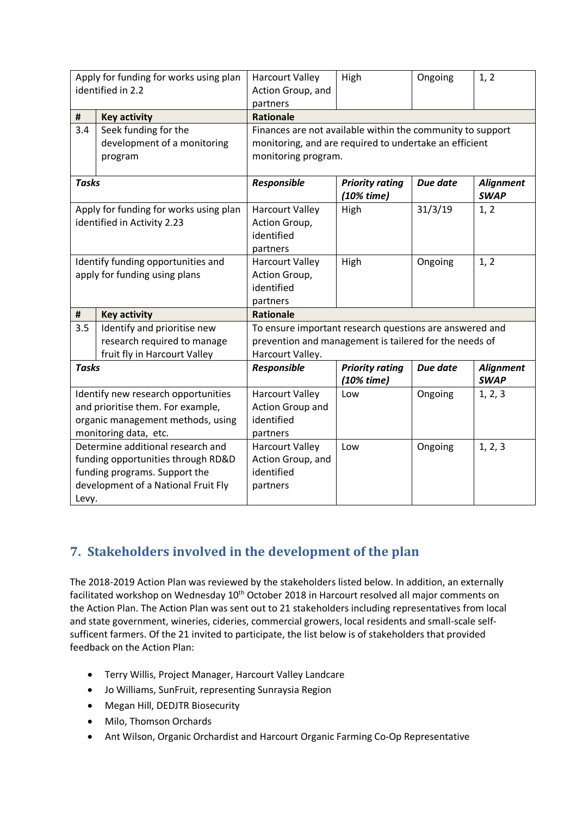| Apply for funding for works using plan<br>identified in 2.2 |                                             | <b>Harcourt Valley</b><br>Action Group, and                | High                                   | Ongoing  | 1, 2                            |  |
|-------------------------------------------------------------|---------------------------------------------|------------------------------------------------------------|----------------------------------------|----------|---------------------------------|--|
|                                                             |                                             | partners<br><b>Rationale</b>                               |                                        |          |                                 |  |
| #<br>3.4                                                    | <b>Key activity</b><br>Seek funding for the | Finances are not available within the community to support |                                        |          |                                 |  |
|                                                             | development of a monitoring                 | monitoring, and are required to undertake an efficient     |                                        |          |                                 |  |
|                                                             | program                                     | monitoring program.                                        |                                        |          |                                 |  |
|                                                             |                                             |                                                            |                                        |          |                                 |  |
| <b>Tasks</b>                                                |                                             | Responsible                                                | <b>Priority rating</b><br>$(10%$ time) | Due date | <b>Alignment</b><br><b>SWAP</b> |  |
|                                                             | Apply for funding for works using plan      | <b>Harcourt Valley</b>                                     | High                                   | 31/3/19  | 1, 2                            |  |
|                                                             | identified in Activity 2.23                 | Action Group,                                              |                                        |          |                                 |  |
|                                                             |                                             | identified                                                 |                                        |          |                                 |  |
|                                                             |                                             | partners                                                   |                                        |          |                                 |  |
|                                                             | Identify funding opportunities and          | <b>Harcourt Valley</b>                                     | High                                   | Ongoing  | 1, 2                            |  |
|                                                             | apply for funding using plans               | Action Group,                                              |                                        |          |                                 |  |
|                                                             |                                             | identified                                                 |                                        |          |                                 |  |
|                                                             |                                             | partners                                                   |                                        |          |                                 |  |
| #                                                           | <b>Key activity</b>                         | <b>Rationale</b>                                           |                                        |          |                                 |  |
| 3.5                                                         | Identify and prioritise new                 | To ensure important research questions are answered and    |                                        |          |                                 |  |
|                                                             | research required to manage                 | prevention and management is tailered for the needs of     |                                        |          |                                 |  |
|                                                             | fruit fly in Harcourt Valley                | Harcourt Valley.                                           |                                        |          |                                 |  |
| <b>Tasks</b>                                                |                                             | Responsible                                                | <b>Priority rating</b><br>(10% time)   | Due date | <b>Alignment</b><br><b>SWAP</b> |  |
|                                                             | Identify new research opportunities         | <b>Harcourt Valley</b>                                     | Low                                    | Ongoing  | 1, 2, 3                         |  |
|                                                             | and prioritise them. For example,           | Action Group and                                           |                                        |          |                                 |  |
|                                                             | organic management methods, using           | identified                                                 |                                        |          |                                 |  |
| monitoring data, etc.                                       |                                             | partners                                                   |                                        |          |                                 |  |
|                                                             | Determine additional research and           | <b>Harcourt Valley</b>                                     | Low                                    | Ongoing  | 1, 2, 3                         |  |
|                                                             | funding opportunities through RD&D          | Action Group, and                                          |                                        |          |                                 |  |
|                                                             | funding programs. Support the               | identified                                                 |                                        |          |                                 |  |
|                                                             | development of a National Fruit Fly         | partners                                                   |                                        |          |                                 |  |
| Levy.                                                       |                                             |                                                            |                                        |          |                                 |  |

# **7. Stakeholders involved in the development of the plan**

The 2018-2019 Action Plan was reviewed by the stakeholders listed below. In addition, an externally facilitated workshop on Wednesday 10<sup>th</sup> October 2018 in Harcourt resolved all major comments on the Action Plan. The Action Plan was sent out to 21 stakeholders including representatives from local and state government, wineries, cideries, commercial growers, local residents and small-scale selfsufficent farmers. Of the 21 invited to participate, the list below is of stakeholders that provided feedback on the Action Plan:

- Terry Willis, Project Manager, Harcourt Valley Landcare
- Jo Williams, SunFruit, representing Sunraysia Region
- Megan Hill, DEDJTR Biosecurity
- Milo, Thomson Orchards
- Ant Wilson, Organic Orchardist and Harcourt Organic Farming Co-Op Representative